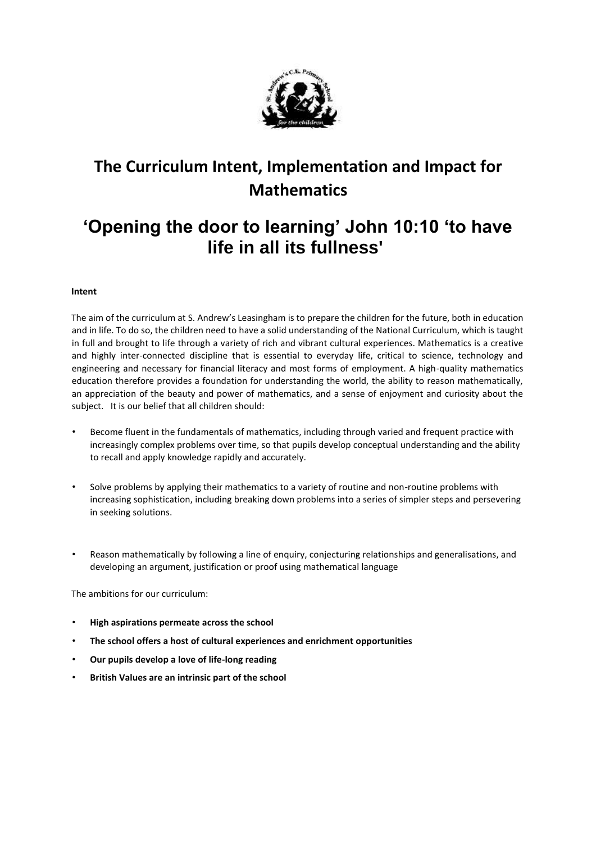

# **The Curriculum Intent, Implementation and Impact for Mathematics**

# **'Opening the door to learning' John 10:10 'to have life in all its fullness'**

# **Intent**

The aim of the curriculum at S. Andrew's Leasingham is to prepare the children for the future, both in education and in life. To do so, the children need to have a solid understanding of the National Curriculum, which is taught in full and brought to life through a variety of rich and vibrant cultural experiences. Mathematics is a creative and highly inter-connected discipline that is essential to everyday life, critical to science, technology and engineering and necessary for financial literacy and most forms of employment. A high-quality mathematics education therefore provides a foundation for understanding the world, the ability to reason mathematically, an appreciation of the beauty and power of mathematics, and a sense of enjoyment and curiosity about the subject. It is our belief that all children should:

- Become fluent in the fundamentals of mathematics, including through varied and frequent practice with increasingly complex problems over time, so that pupils develop conceptual understanding and the ability to recall and apply knowledge rapidly and accurately.
- Solve problems by applying their mathematics to a variety of routine and non-routine problems with increasing sophistication, including breaking down problems into a series of simpler steps and persevering in seeking solutions.
- Reason mathematically by following a line of enquiry, conjecturing relationships and generalisations, and developing an argument, justification or proof using mathematical language

The ambitions for our curriculum:

- **High aspirations permeate across the school**
- **The school offers a host of cultural experiences and enrichment opportunities**
- **Our pupils develop a love of life-long reading**
- **British Values are an intrinsic part of the school**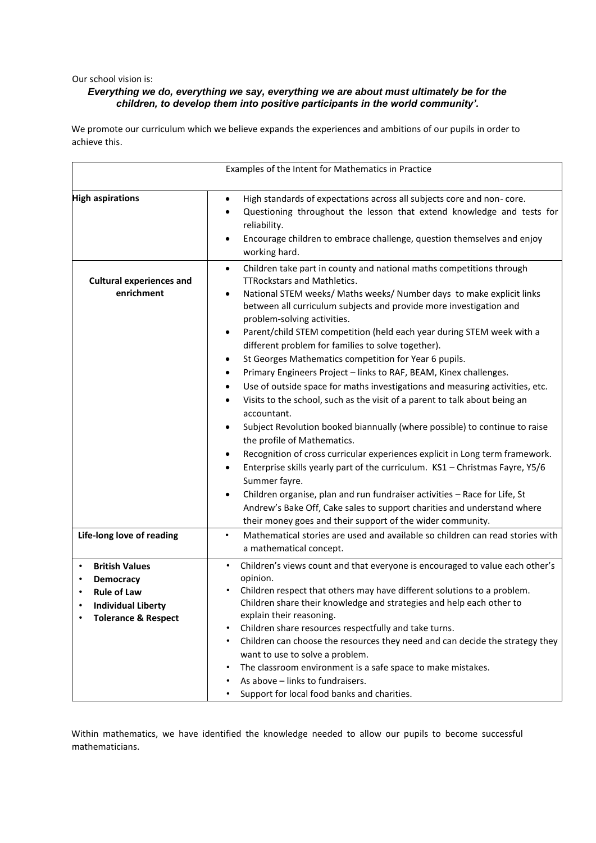Our school vision is:

# *Everything we do, everything we say, everything we are about must ultimately be for the children, to develop them into positive participants in the world community'.*

We promote our curriculum which we believe expands the experiences and ambitions of our pupils in order to achieve this.

| Examples of the Intent for Mathematics in Practice                                                                                               |                                                                                                                                                                                                                                                                                                                                                                                                                                                                                                                                                                                                                                                                                                                                                                                                                                                                                                                                                                                                                                                                                                                                                                                                                                                                                                                                                            |
|--------------------------------------------------------------------------------------------------------------------------------------------------|------------------------------------------------------------------------------------------------------------------------------------------------------------------------------------------------------------------------------------------------------------------------------------------------------------------------------------------------------------------------------------------------------------------------------------------------------------------------------------------------------------------------------------------------------------------------------------------------------------------------------------------------------------------------------------------------------------------------------------------------------------------------------------------------------------------------------------------------------------------------------------------------------------------------------------------------------------------------------------------------------------------------------------------------------------------------------------------------------------------------------------------------------------------------------------------------------------------------------------------------------------------------------------------------------------------------------------------------------------|
| <b>High aspirations</b>                                                                                                                          | High standards of expectations across all subjects core and non-core.<br>$\bullet$<br>Questioning throughout the lesson that extend knowledge and tests for<br>reliability.<br>Encourage children to embrace challenge, question themselves and enjoy<br>٠<br>working hard.                                                                                                                                                                                                                                                                                                                                                                                                                                                                                                                                                                                                                                                                                                                                                                                                                                                                                                                                                                                                                                                                                |
| <b>Cultural experiences and</b><br>enrichment                                                                                                    | Children take part in county and national maths competitions through<br>$\bullet$<br><b>TTRockstars and Mathletics.</b><br>National STEM weeks/ Maths weeks/ Number days to make explicit links<br>$\bullet$<br>between all curriculum subjects and provide more investigation and<br>problem-solving activities.<br>Parent/child STEM competition (held each year during STEM week with a<br>different problem for families to solve together).<br>St Georges Mathematics competition for Year 6 pupils.<br>$\bullet$<br>Primary Engineers Project - links to RAF, BEAM, Kinex challenges.<br>$\bullet$<br>Use of outside space for maths investigations and measuring activities, etc.<br>$\bullet$<br>Visits to the school, such as the visit of a parent to talk about being an<br>٠<br>accountant.<br>Subject Revolution booked biannually (where possible) to continue to raise<br>٠<br>the profile of Mathematics.<br>Recognition of cross curricular experiences explicit in Long term framework.<br>$\bullet$<br>Enterprise skills yearly part of the curriculum. KS1 - Christmas Fayre, Y5/6<br>$\bullet$<br>Summer fayre.<br>Children organise, plan and run fundraiser activities - Race for Life, St<br>Andrew's Bake Off, Cake sales to support charities and understand where<br>their money goes and their support of the wider community. |
| Life-long love of reading                                                                                                                        | Mathematical stories are used and available so children can read stories with<br>$\bullet$<br>a mathematical concept.                                                                                                                                                                                                                                                                                                                                                                                                                                                                                                                                                                                                                                                                                                                                                                                                                                                                                                                                                                                                                                                                                                                                                                                                                                      |
| <b>British Values</b><br>$\bullet$<br><b>Democracy</b><br>٠<br><b>Rule of Law</b><br><b>Individual Liberty</b><br><b>Tolerance &amp; Respect</b> | Children's views count and that everyone is encouraged to value each other's<br>$\bullet$<br>opinion.<br>Children respect that others may have different solutions to a problem.<br>Children share their knowledge and strategies and help each other to<br>explain their reasoning.<br>Children share resources respectfully and take turns.<br>Children can choose the resources they need and can decide the strategy they<br>want to use to solve a problem.<br>The classroom environment is a safe space to make mistakes.<br>As above - links to fundraisers.<br>Support for local food banks and charities.                                                                                                                                                                                                                                                                                                                                                                                                                                                                                                                                                                                                                                                                                                                                         |

Within mathematics, we have identified the knowledge needed to allow our pupils to become successful mathematicians.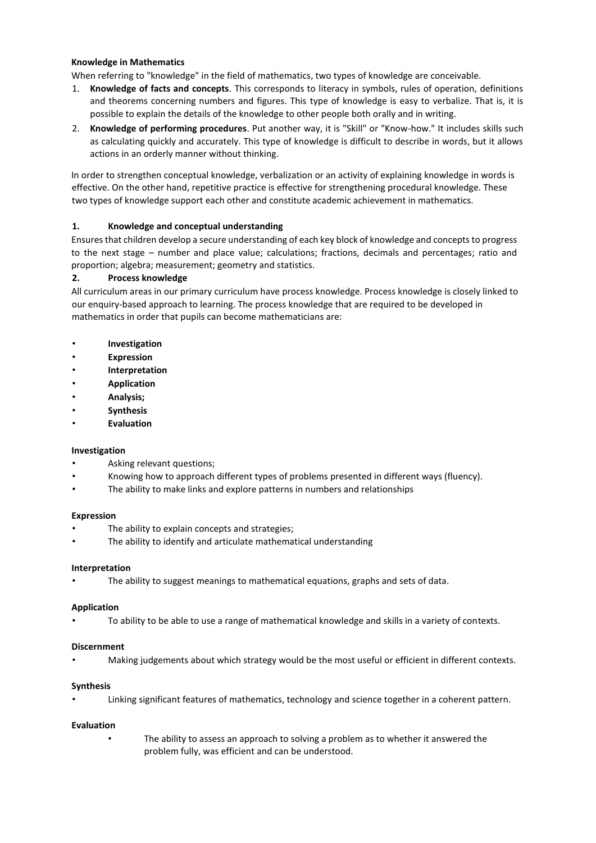# **Knowledge in Mathematics**

When referring to "knowledge" in the field of mathematics, two types of knowledge are conceivable.

- 1. **Knowledge of facts and concepts**. This corresponds to literacy in symbols, rules of operation, definitions and theorems concerning numbers and figures. This type of knowledge is easy to verbalize. That is, it is possible to explain the details of the knowledge to other people both orally and in writing.
- 2. **Knowledge of performing procedures**. Put another way, it is "Skill" or "Know-how." It includes skills such as calculating quickly and accurately. This type of knowledge is difficult to describe in words, but it allows actions in an orderly manner without thinking.

In order to strengthen conceptual knowledge, verbalization or an activity of explaining knowledge in words is effective. On the other hand, repetitive practice is effective for strengthening procedural knowledge. These two types of knowledge support each other and constitute academic achievement in mathematics.

# **1. Knowledge and conceptual understanding**

Ensures that children develop a secure understanding of each key block of knowledge and concepts to progress to the next stage – number and place value; calculations; fractions, decimals and percentages; ratio and proportion; algebra; measurement; geometry and statistics.

# **2. Process knowledge**

All curriculum areas in our primary curriculum have process knowledge. Process knowledge is closely linked to our enquiry-based approach to learning. The process knowledge that are required to be developed in mathematics in order that pupils can become mathematicians are:

- **Investigation**
- **Expression**
- **Interpretation**
- **Application**
- **Analysis;**
- **Synthesis**
- **Evaluation**

#### **Investigation**

- Asking relevant questions;
- Knowing how to approach different types of problems presented in different ways (fluency).
- The ability to make links and explore patterns in numbers and relationships

#### **Expression**

- The ability to explain concepts and strategies;
- The ability to identify and articulate mathematical understanding

#### **Interpretation**

The ability to suggest meanings to mathematical equations, graphs and sets of data.

#### **Application**

• To ability to be able to use a range of mathematical knowledge and skills in a variety of contexts.

#### **Discernment**

• Making judgements about which strategy would be the most useful or efficient in different contexts.

#### **Synthesis**

Linking significant features of mathematics, technology and science together in a coherent pattern.

#### **Evaluation**

The ability to assess an approach to solving a problem as to whether it answered the problem fully, was efficient and can be understood.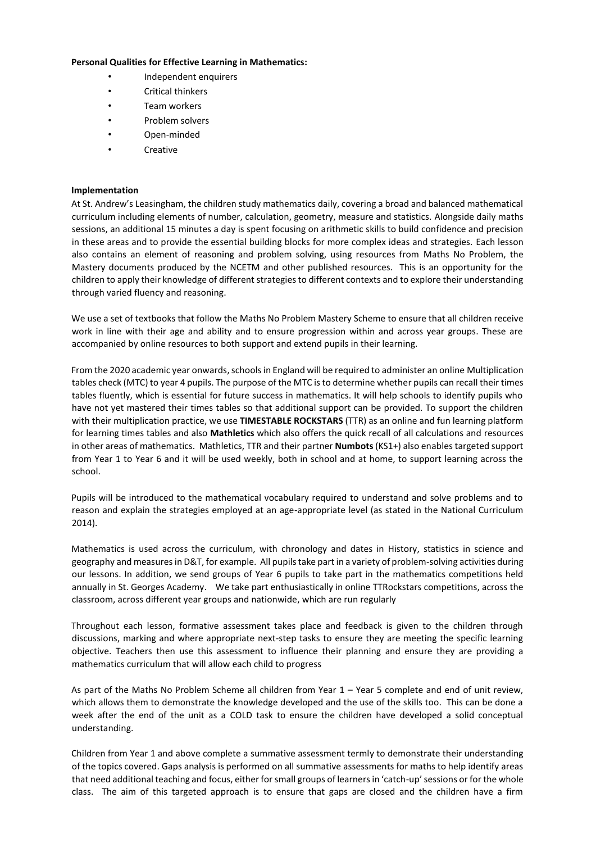#### **Personal Qualities for Effective Learning in Mathematics:**

- Independent enquirers
- Critical thinkers
- Team workers
- Problem solvers
- Open-minded
- **Creative**

#### **Implementation**

At St. Andrew's Leasingham, the children study mathematics daily, covering a broad and balanced mathematical curriculum including elements of number, calculation, geometry, measure and statistics. Alongside daily maths sessions, an additional 15 minutes a day is spent focusing on arithmetic skills to build confidence and precision in these areas and to provide the essential building blocks for more complex ideas and strategies. Each lesson also contains an element of reasoning and problem solving, using resources from Maths No Problem, the Mastery documents produced by the NCETM and other published resources. This is an opportunity for the children to apply their knowledge of different strategies to different contexts and to explore their understanding through varied fluency and reasoning.

We use a set of textbooks that follow the Maths No Problem Mastery Scheme to ensure that all children receive work in line with their age and ability and to ensure progression within and across year groups. These are accompanied by online resources to both support and extend pupils in their learning.

From the 2020 academic year onwards, schools in England will be required to administer an online Multiplication tables check (MTC) to year 4 pupils. The purpose of the MTC is to determine whether pupils can recall their times tables fluently, which is essential for future success in mathematics. It will help schools to identify pupils who have not yet mastered their times tables so that additional support can be provided. To support the children with their multiplication practice, we use **TIMESTABLE ROCKSTARS** (TTR) as an online and fun learning platform for learning times tables and also **Mathletics** which also offers the quick recall of all calculations and resources in other areas of mathematics. Mathletics, TTR and their partner **Numbots**(KS1+) also enables targeted support from Year 1 to Year 6 and it will be used weekly, both in school and at home, to support learning across the school.

Pupils will be introduced to the mathematical vocabulary required to understand and solve problems and to reason and explain the strategies employed at an age-appropriate level (as stated in the National Curriculum 2014).

Mathematics is used across the curriculum, with chronology and dates in History, statistics in science and geography and measures in D&T, for example. All pupils take part in a variety of problem-solving activities during our lessons. In addition, we send groups of Year 6 pupils to take part in the mathematics competitions held annually in St. Georges Academy. We take part enthusiastically in online TTRockstars competitions, across the classroom, across different year groups and nationwide, which are run regularly

Throughout each lesson, formative assessment takes place and feedback is given to the children through discussions, marking and where appropriate next-step tasks to ensure they are meeting the specific learning objective. Teachers then use this assessment to influence their planning and ensure they are providing a mathematics curriculum that will allow each child to progress

As part of the Maths No Problem Scheme all children from Year 1 – Year 5 complete and end of unit review, which allows them to demonstrate the knowledge developed and the use of the skills too. This can be done a week after the end of the unit as a COLD task to ensure the children have developed a solid conceptual understanding.

Children from Year 1 and above complete a summative assessment termly to demonstrate their understanding of the topics covered. Gaps analysis is performed on all summative assessments for maths to help identify areas that need additional teaching and focus, either for small groups of learners in 'catch-up' sessions or for the whole class. The aim of this targeted approach is to ensure that gaps are closed and the children have a firm